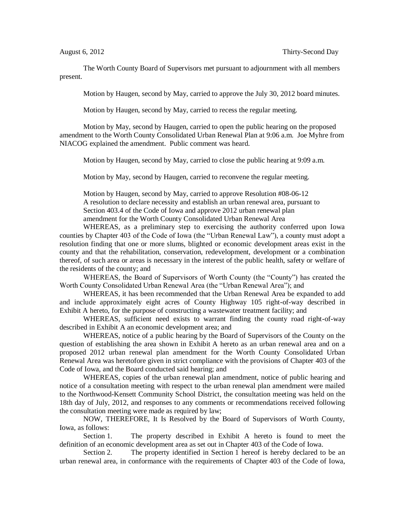The Worth County Board of Supervisors met pursuant to adjournment with all members present.

Motion by Haugen, second by May, carried to approve the July 30, 2012 board minutes.

Motion by Haugen, second by May, carried to recess the regular meeting.

Motion by May, second by Haugen, carried to open the public hearing on the proposed amendment to the Worth County Consolidated Urban Renewal Plan at 9:06 a.m. Joe Myhre from NIACOG explained the amendment. Public comment was heard.

Motion by Haugen, second by May, carried to close the public hearing at 9:09 a.m.

Motion by May, second by Haugen, carried to reconvene the regular meeting.

Motion by Haugen, second by May, carried to approve Resolution #08-06-12 A resolution to declare necessity and establish an urban renewal area, pursuant to Section 403.4 of the Code of Iowa and approve 2012 urban renewal plan amendment for the Worth County Consolidated Urban Renewal Area

WHEREAS, as a preliminary step to exercising the authority conferred upon Iowa counties by Chapter 403 of the Code of Iowa (the "Urban Renewal Law"), a county must adopt a resolution finding that one or more slums, blighted or economic development areas exist in the county and that the rehabilitation, conservation, redevelopment, development or a combination thereof, of such area or areas is necessary in the interest of the public health, safety or welfare of the residents of the county; and

WHEREAS, the Board of Supervisors of Worth County (the "County") has created the Worth County Consolidated Urban Renewal Area (the "Urban Renewal Area"); and

WHEREAS, it has been recommended that the Urban Renewal Area be expanded to add and include approximately eight acres of County Highway 105 right-of-way described in Exhibit A hereto, for the purpose of constructing a wastewater treatment facility; and

WHEREAS, sufficient need exists to warrant finding the county road right-of-way described in Exhibit A an economic development area; and

WHEREAS, notice of a public hearing by the Board of Supervisors of the County on the question of establishing the area shown in Exhibit A hereto as an urban renewal area and on a proposed 2012 urban renewal plan amendment for the Worth County Consolidated Urban Renewal Area was heretofore given in strict compliance with the provisions of Chapter 403 of the Code of Iowa, and the Board conducted said hearing; and

WHEREAS, copies of the urban renewal plan amendment, notice of public hearing and notice of a consultation meeting with respect to the urban renewal plan amendment were mailed to the Northwood-Kensett Community School District, the consultation meeting was held on the 18th day of July, 2012, and responses to any comments or recommendations received following the consultation meeting were made as required by law;

NOW, THEREFORE, It Is Resolved by the Board of Supervisors of Worth County, Iowa, as follows:

Section 1. The property described in Exhibit A hereto is found to meet the definition of an economic development area as set out in Chapter 403 of the Code of Iowa.

Section 2. The property identified in Section 1 hereof is hereby declared to be an urban renewal area, in conformance with the requirements of Chapter 403 of the Code of Iowa,